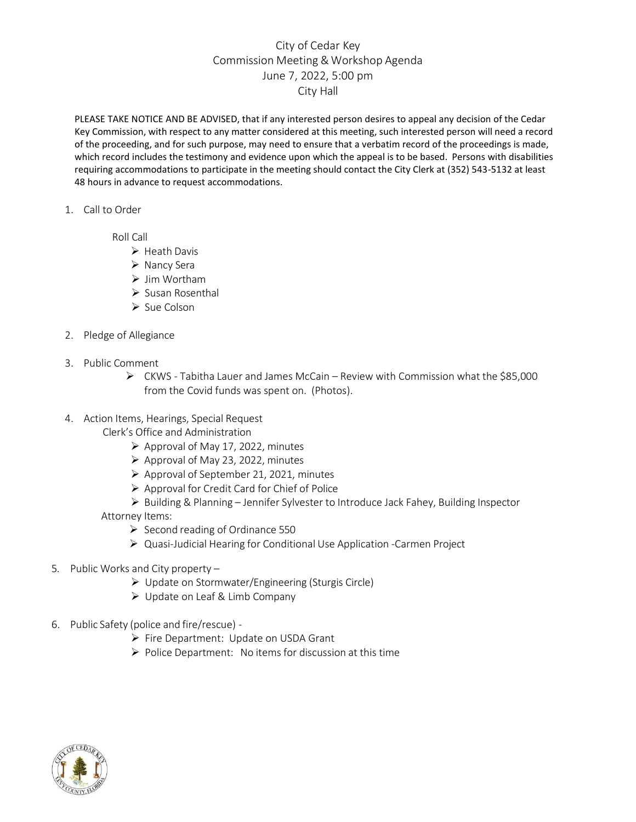## City of Cedar Key Commission Meeting & Workshop Agenda June 7, 2022, 5:00 pm City Hall

PLEASE TAKE NOTICE AND BE ADVISED, that if any interested person desires to appeal any decision of the Cedar Key Commission, with respect to any matter considered at this meeting, such interested person will need a record of the proceeding, and for such purpose, may need to ensure that a verbatim record of the proceedings is made, which record includes the testimony and evidence upon which the appeal is to be based. Persons with disabilities requiring accommodations to participate in the meeting should contact the City Clerk at (352) 543-5132 at least 48 hours in advance to request accommodations.

1. Call to Order

Roll Call

- ➢ Heath Davis
- ➢ Nancy Sera
- ➢ Jim Wortham
- ➢ Susan Rosenthal
- ➢ Sue Colson
- 2. Pledge of Allegiance
- 3. Public Comment
	- ➢ CKWS Tabitha Lauer and James McCain Review with Commission what the \$85,000 from the Covid funds was spent on. (Photos).
- 4. Action Items, Hearings, Special Request

Clerk's Office and Administration

- $\triangleright$  Approval of May 17, 2022, minutes
- ➢ Approval of May 23, 2022, minutes
- ➢ Approval of September 21, 2021, minutes
- ➢ Approval for Credit Card for Chief of Police
- ➢ Building & Planning Jennifer Sylvester to Introduce Jack Fahey, Building Inspector
- Attorney Items:
	- ➢ Second reading of Ordinance 550
	- ➢ Quasi-Judicial Hearing for Conditional Use Application -Carmen Project
- 5. Public Works and City property
	- ➢ Update on Stormwater/Engineering (Sturgis Circle)
	- ➢ Update on Leaf & Limb Company
- 6. Public Safety (police and fire/rescue)
	- ➢ Fire Department: Update on USDA Grant
	- $\triangleright$  Police Department: No items for discussion at this time